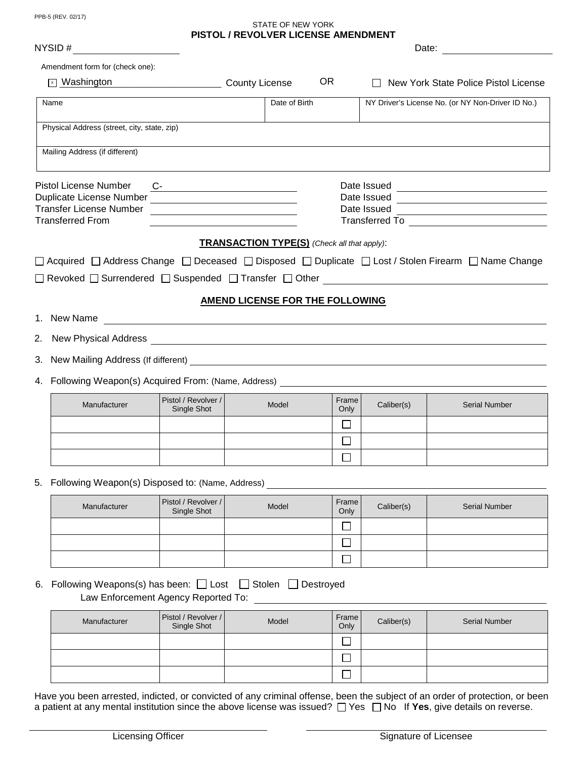PPB-5 (REV. 02/17)

## STATE OF NEW YORK **PISTOL / REVOLVER LICENSE AMENDMENT**

| NYSID # $\qquad \qquad \qquad$                                                   |                                     |                                                                                                                                                                                          |                  |                                                   |                                                                                                     |  |  |  |
|----------------------------------------------------------------------------------|-------------------------------------|------------------------------------------------------------------------------------------------------------------------------------------------------------------------------------------|------------------|---------------------------------------------------|-----------------------------------------------------------------------------------------------------|--|--|--|
| Amendment form for (check one):                                                  |                                     |                                                                                                                                                                                          |                  |                                                   |                                                                                                     |  |  |  |
|                                                                                  |                                     | OR.<br>Vashington County License                                                                                                                                                         |                  | New York State Police Pistol License              |                                                                                                     |  |  |  |
| Name                                                                             |                                     | Date of Birth                                                                                                                                                                            |                  | NY Driver's License No. (or NY Non-Driver ID No.) |                                                                                                     |  |  |  |
| Physical Address (street, city, state, zip)                                      |                                     |                                                                                                                                                                                          |                  |                                                   |                                                                                                     |  |  |  |
| Mailing Address (if different)                                                   |                                     |                                                                                                                                                                                          |                  |                                                   |                                                                                                     |  |  |  |
| Pistol License Number                                                            | $C-$                                |                                                                                                                                                                                          |                  | Date Issued                                       |                                                                                                     |  |  |  |
|                                                                                  |                                     | <u> 1989 - Johann Barbara, martin amerikan ba</u><br>Date Issued<br><u> Alexandria de la contentación de la contentación de la contentación de la contentación de la contentación de</u> |                  |                                                   |                                                                                                     |  |  |  |
| <b>Transfer License Number</b>                                                   |                                     | Date Issued<br><u> 1989 - Johann Barbara, martin amerikan basar da</u>                                                                                                                   |                  |                                                   |                                                                                                     |  |  |  |
| <b>Transferred From</b>                                                          |                                     |                                                                                                                                                                                          |                  |                                                   |                                                                                                     |  |  |  |
|                                                                                  |                                     | <b>TRANSACTION TYPE(S)</b> (Check all that apply):                                                                                                                                       |                  |                                                   |                                                                                                     |  |  |  |
|                                                                                  |                                     |                                                                                                                                                                                          |                  |                                                   | □ Acquired □ Address Change □ Deceased □ Disposed □ Duplicate □ Lost / Stolen Firearm □ Name Change |  |  |  |
|                                                                                  |                                     |                                                                                                                                                                                          |                  |                                                   | $\Box$ Revoked $\Box$ Surrendered $\Box$ Suspended $\Box$ Transfer $\Box$ Other                     |  |  |  |
|                                                                                  |                                     |                                                                                                                                                                                          |                  |                                                   |                                                                                                     |  |  |  |
|                                                                                  |                                     | <b>AMEND LICENSE FOR THE FOLLOWING</b>                                                                                                                                                   |                  |                                                   |                                                                                                     |  |  |  |
|                                                                                  |                                     |                                                                                                                                                                                          |                  |                                                   |                                                                                                     |  |  |  |
|                                                                                  |                                     |                                                                                                                                                                                          |                  |                                                   |                                                                                                     |  |  |  |
|                                                                                  |                                     |                                                                                                                                                                                          |                  |                                                   |                                                                                                     |  |  |  |
| 4. Following Weapon(s) Acquired From: (Name, Address) __________________________ |                                     |                                                                                                                                                                                          |                  |                                                   |                                                                                                     |  |  |  |
|                                                                                  | Pistol / Revolver /                 |                                                                                                                                                                                          |                  |                                                   |                                                                                                     |  |  |  |
| Manufacturer                                                                     | Single Shot                         | Model                                                                                                                                                                                    | Frame<br>Only    | Caliber(s)                                        | <b>Serial Number</b>                                                                                |  |  |  |
|                                                                                  |                                     |                                                                                                                                                                                          | $\Box$           |                                                   |                                                                                                     |  |  |  |
|                                                                                  |                                     |                                                                                                                                                                                          | $\Box$           |                                                   |                                                                                                     |  |  |  |
|                                                                                  |                                     |                                                                                                                                                                                          | П                |                                                   |                                                                                                     |  |  |  |
| 5. Following Weapon(s) Disposed to: (Name, Address)                              |                                     |                                                                                                                                                                                          |                  |                                                   |                                                                                                     |  |  |  |
| Manufacturer                                                                     | Pistol / Revolver /<br>Single Shot  | Model                                                                                                                                                                                    | Frame<br>Only    | Caliber(s)                                        | <b>Serial Number</b>                                                                                |  |  |  |
|                                                                                  |                                     |                                                                                                                                                                                          |                  |                                                   |                                                                                                     |  |  |  |
|                                                                                  |                                     |                                                                                                                                                                                          |                  |                                                   |                                                                                                     |  |  |  |
|                                                                                  |                                     |                                                                                                                                                                                          | $\mathbf{L}$     |                                                   |                                                                                                     |  |  |  |
|                                                                                  |                                     |                                                                                                                                                                                          | $\Box$<br>$\Box$ |                                                   |                                                                                                     |  |  |  |
|                                                                                  | Law Enforcement Agency Reported To: | □ Stolen □ Destroyed                                                                                                                                                                     |                  |                                                   |                                                                                                     |  |  |  |
| Manufacturer                                                                     | Pistol / Revolver /<br>Single Shot  | Model                                                                                                                                                                                    | Frame<br>Only    | Caliber(s)                                        | <b>Serial Number</b>                                                                                |  |  |  |
| 6. Following Weapons(s) has been: $\Box$ Lost                                    |                                     |                                                                                                                                                                                          | $\mathbf{I}$     |                                                   |                                                                                                     |  |  |  |

Have you been arrested, indicted, or convicted of any criminal offense, been the subject of an order of protection, or been a patient at any mental institution since the above license was issued?  $\Box$  Yes  $\Box$  No If Yes, give details on reverse.

 $\Box$